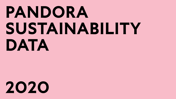# **PANDORA SUSTAINABILITY DATA**

# **2020**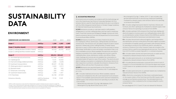# **SUSTAINABILITY DATA**

# **ENVIRONMENT**

| <b>GREENHOUSE GAS EMISSIONS</b>               | Unit                                          | 2020           | 2019                | 2018                |
|-----------------------------------------------|-----------------------------------------------|----------------|---------------------|---------------------|
| Scope 1 <sup>1</sup>                          | mtCO <sub>2</sub> e                           | 1,250          | $1,252^2$           | 1,305 <sup>2</sup>  |
| Scope 2 <sup>1</sup> (location-based)         | mtCO <sub>2</sub> e                           | 47,949         | 48,072 <sup>2</sup> | 48,202 <sup>2</sup> |
| Scope 2, crafting facilities (location-based) | mtCO, e                                       | 26,618         | 26,232              | 28,227              |
| Scope 2, crafting facilities (market-based)   | mtCO,e                                        | O <sup>3</sup> | $-4$                | $-4$                |
| Scope 3 <sup>1</sup>                          | mtCO <sub>2</sub> e                           | 242,416        | 245,663             |                     |
| C1: Purchased goods and services              | mtCO, e                                       | 157,908        | 176,895             |                     |
| C2: Capital goods                             | mtCO,e                                        | 9,121          | 10,222              |                     |
| C3: Fuel-and-energy related activities        | mtCO,e                                        | 3,685          | 3,628               |                     |
| C4: Upstream transportation                   | mtCO,e                                        | 40,637         | 21,586              |                     |
| C5: Waste generated in operations             | mtCO,e                                        | 2,654          | 2,513               |                     |
| C6: Business travel                           | mtCO, e                                       | 350            | 920                 |                     |
| C7: Employee commuting                        | mtCO, e                                       | 606            | 918                 |                     |
| C8: Upstream leased assets                    | mtCO, e                                       | 1,298          | 1,421               |                     |
| C14: Franchises                               | mtCO, e                                       | 26,158         | 27,559              |                     |
| <b>Emissions intensity</b>                    | mtCO <sub>2</sub> e/revenue<br>in DKK million | 13.94          | 13.49               |                     |

<sup>1</sup> Within audit's assurance scope (see the Independent auditors' limited assurance report on page 55).

2 Scope 1 and 2 GHG emissions have been restated for 2019 and 2018 (see the restatement on page 54).

<sup>3</sup> A market-based approach is used in 2020 to take into account the purchase of renewable energy certificates

4 Not calculated because residual mix emission factors are not available for Thailand.

#### **ACCOUNTING PRINCIPLES**

All emissions are accounted in accordance with the methodology set out in the Greenhouse Gas Protocol Corporate Standard. All CO<sub>2</sub>e emission factors used for fossil fuels and electricity are in accordance with the 2006 Intergovernmental Panel on Climate Change Guidelines for National Greenhouse Gas Inventories.

SCOPE 1 emissions include on-site fuels used to craft jewellery, refrigerants to cool the crafting facilities, and fuel used in employee trams. Fossil fuel volumes and refrigerant leakage volumes are multiplied by emissions factors from the UK Department for Environment, Food and Rural Affairs (DEFRA).

SCOPE 2 emissions include the purchase of electricity and district heating for offices, warehouses, crafting facilities and Pandora owned stores. The emissions are calculated using the location-based approach. Additionally, at the crafting facilities, a market-based approach is used in 2020 to take into account the purchase of renewable energy certificates to source all energy consumption that is not from renewable sources. Where available, the electricity and district heating consumption from meter readings and invoices is used for crafting facilities, stores, distribution centers, and offices. Where meter readings and invoices are not available, the consumption is estimated based off spend or size of the location. The electricity and district heating consumption is multiplied by IEA emission factors for their respective countries to calculate the emissions. Emissions from satellite offices with less than 30 people are omitted.

SCOPE 3 emissions are reported based on the Greenhouse Gas Protocol which divides the Scope 3 inventory into 15 subcategories  $(C1 - C15)$ 

**·** C1 – Includes materials and services. Where available, material volumes are multiplied by the Life Cycle Assessment (LCA) emission factors. If not available, spend amounts were used and multiplied by DEFRA supply chain emission factors for spending on products. Key LCA's include:

– Mined and recycled silver CO2e/kg: GaBi database, 2019

– Mined gold CO2e/kg: World Gold Council, 2018

- Recycled gold CO2e/kg: C. Hafner, 2019. C1 also includes categorised spend amounts on services (e.g. media and marketing) multiplied by relevant supply chain emission factors for spending on products from DEFRA.
- **·** C2 Includes categorised spend data for machinery, fixtures and furniture, and other capital goods multiplied by relevant supply chain emission factors for spending on products from DEFRA.
- **·** C3 Includes upstream GHG emissions from fossil fuels, heating, and electricity based on invoices used in our crafting facilities, stores, offices, and distribution centers. Emission factors from DEFRA are used for fossil fuels and the IEA for transmission and distribution losses.
- **·** C4 Includes inbound and outbound logistics, and transportation and distribution services conducted by third party logistics providers. A combination of supplier-specific and supply chain emission factors for spending on products from DEFRA are used to calculate the emissions. Emissions from other transport types are included in the emission factors used for purchased goods and services. The increase from 2019 to 2020 is a result of growth in e-commerce business.
- **·** C5 Includes waste volumes and spend amounts on waste services, multiplied by relevant emission factors from DEFRA.
- **·** C6 Includes spend amounts on car rental and travel expenses, multiplied by relevant emission factors from DEFRA.
- **·** C7 Includes Pandora employees commute from home to work. It is based on a Trucost estimate from 2018 and the figure was revised in 2020 based on an updated estimation of employees working from home.
- **·** C8 Includes spend amounts on upstream leased cars, multiplied by relevant emission factors from DEFRA.
- **·** C14 Electricity consumption for franchises is estimated based on the square meters of the franchises and the kWh/square meter average across Pandora owned stores. The estimated electricity consumption is then multiplied by the corresponding IEA country emission factor.

The subcategories C9-C13 and C15 are not relevant for Pandora.

2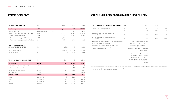$\equiv$ 

| <b>ENERGY CONSUMPTION</b>               | Unit                       | 2020    | 2019    | 2018    |
|-----------------------------------------|----------------------------|---------|---------|---------|
|                                         | <b>MWh</b>                 | 110,876 | 111,029 | 110,942 |
| <b>Total energy consumption</b>         |                            |         |         |         |
| Energy intensity                        | MWh/revenue in DKK million | 5.83    | 5.08    | 4.86    |
| Energy consumption, crafting facilities | <b>MWh</b>                 | 56.909  | 56,265  | 60,454  |
| Solar energy generated                  | <b>MWh</b>                 | 1,141   | 1,307   | 1,316   |
| Renewable energy certificates           | <b>MWh</b>                 | 55,768  |         |         |
| Renewable energy at crafting facilities | $\%$                       | 100%    | 2.4%    | 2.2%    |
| <b>WATER CONSUMPTION</b>                |                            |         |         |         |
| AT CRAFTING FACILITIES                  | Unit                       | 2020    | 2019    | 2018    |
| Water consumption                       | m <sup>3</sup>             | 973,481 | 931.072 | 953,175 |
| Water recycled                          | %                          | 16%     | 14%     | 10%     |
|                                         |                            |         |         |         |
| <b>WASTE AT CRAFTING FACILITIES</b>     | Unit                       | 2020    | 2019    | 2018    |
| <b>Total waste</b>                      | tonnes                     | 6,970   | 6,248   | 7,071   |
| Hazardous waste (not recycled)          | tonnes                     | 22      | 17      | 9       |
| Industrial waste to landfill            | tonnes                     | 44      | 23      | 95      |
| Municipal waste to landfill             | tonnes                     | 618     | 685     | 837     |
| Recycled waste                          | tonnes                     | 6,287   | 5,523   | 6,130   |
| <b>Total recycled</b>                   | recycled %                 | 90%     | 88%     | 87%     |
| Gypsum                                  | recycled %                 | 100%    | 100%    | 99%     |
| Glass                                   | recycled%                  | 100%    | 100%    | 100%    |
| Wax                                     | recycled%                  | 100%    | 100%    | 100%    |
| Rubber                                  | recycled%                  | 100%    | 100%    | 100%    |

# **ENVIRONMENT CIRCULAR AND SUSTAINABLE JEWELLERY**

| <b>CIRCULAR AND SUSTAINABLE JEWELLERY</b>                                                                                                                                                     | Unit           | 2020                                                                                                                                                                            | 2019    | 2018    |
|-----------------------------------------------------------------------------------------------------------------------------------------------------------------------------------------------|----------------|---------------------------------------------------------------------------------------------------------------------------------------------------------------------------------|---------|---------|
| Recycled silver and gold total                                                                                                                                                                | $\frac{9}{10}$ | $~10\%$                                                                                                                                                                         | $~10\%$ | n/a     |
| Man-made stones                                                                                                                                                                               | $\%$           | $>99\%$                                                                                                                                                                         | >99%    | $>99\%$ |
| Total direct supplier spend audited<br>by a third-party                                                                                                                                       | $\%$           | $>99\%$                                                                                                                                                                         | >95%    | >85%    |
| Silver and gold grain suppliers certified<br>by RJC/LBMA                                                                                                                                      | $\%$           | 100%                                                                                                                                                                            | 100%    | 100%    |
| Product suppliers identified as having significant<br>actual and potential negative<br>social/environmental impacts with which<br>improvements were agreed upon as<br>a result of assessment. |                | Social impact issues were<br>found in 13 out of 15 factory<br>locations, with a total of 108<br>issues 81 issues have been<br>closed, 27 are in the process of<br>being closed. |         |         |
|                                                                                                                                                                                               |                | Environmental issues were<br>found in 9 out of 15 factory<br>locations, with a total of 17<br>issues. 12 have been closed, 5<br>are in the process of being<br>closed           |         |         |

1 Recycled silver and gold are precious metals that have been previously refined. Our products may contain a fraction of silver or gold coming from certified but non-recycled sources due to difficulties in separating sources in the refining process. At Pandora, we continuously work with our suppliers to fully remove the fraction of non-recycled sources.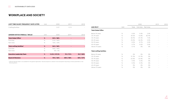### **WORKPLACE AND SOCIETY**

| <b>LOST TIME INJURY FREQUENCY RATE (LTIFR)</b> | Unit          | 2020          | 2019                     | 2018      |
|------------------------------------------------|---------------|---------------|--------------------------|-----------|
| Crafting facilities                            |               | 0.27          | 0.15                     |           |
|                                                |               |               |                          |           |
| <b>GENDER RATIOS (FEMALE / MALE)</b>           | Unit          | 2020          | 2019                     | 2018      |
| <b>Total Global Office<sup>1</sup></b>         | $\frac{9}{6}$ | 52% / 48%     | ٠                        |           |
| Full-time                                      | $\%$          | 51% / 49%     |                          |           |
| Part-time                                      | $\%$          | 76% / 24%     | $\overline{\phantom{a}}$ |           |
| Total crafting facilities <sup>1</sup>         | $\%$          | $56\% / 44\%$ |                          |           |
| Full-time                                      | $\%$          | 56% / 44%     | $\overline{\phantom{a}}$ |           |
| Part-time                                      | $\%$          | $0\% / 0\%$   |                          |           |
| <b>Executive Leadership Team</b>               | $\%$          | 12.5% / 87.5% | $9\% / 91\%$             | 0%/100%   |
| <b>Board of Directors</b>                      | $\%$          | 75% / 25%     | 50% / 50%                | 43% / 57% |
|                                                |               |               |                          |           |

1 Sufficient gender data is not available for the global organisation. Pandora expects to deliver more transparent reporting on these parameters in the following year(s).

|                                  |      |       | 2020      |           | 2019           | 2018 |
|----------------------------------|------|-------|-----------|-----------|----------------|------|
| <b>AGE SPLIT</b>                 | Unit | Total | Full-time | Part-time |                |      |
| <b>Total Global Office</b>       |      |       |           |           |                |      |
| Below 20 years                   | $\%$ | 0.6%  | 0.4%      | 2.4%      |                |      |
| 20-29 years                      | $\%$ | 20.6% | 16.8%     | 82.9%     | $\overline{a}$ |      |
| 30-39 years                      | $\%$ | 44.9% | 47.2%     | 7.3%      | $\overline{a}$ |      |
| 40-49 years                      | $\%$ | 25.0% | 26.3%     | 2.4%      | $\overline{a}$ |      |
| 50-59 years                      | $\%$ | 8.2%  | 8.7%      | 2.4%      | $\overline{a}$ |      |
| 60-69 years                      | $\%$ | 0.7%  | 0.6%      | 2.4%      | $\overline{a}$ |      |
| Above 70 years                   | $\%$ | 0.1%  | $0\%$     | 0%        |                |      |
| <b>Total crafting facilities</b> |      |       |           |           |                |      |
| Below 20 years                   | %    | 0%    | 0%        | 0%        |                |      |
| 20-29 years                      | %    | 31.9% | 31.9%     | 0%        | $\overline{a}$ |      |
| 30-39 years                      | %    | 63.4% | 63.4%     | 0%        | $\overline{a}$ |      |
| 40-49 years                      | %    | 4.3%  | 4.3%      | 0%        | $\overline{a}$ |      |
| 50-59 years                      | $\%$ | 0.3%  | 0.3%      | 0%        | $\overline{a}$ |      |
| 60-69 years                      | $\%$ | 0%    | 0%        | 0%        |                |      |
| Above 70 years                   | $\%$ | 0%    | 0%        | 0%        |                |      |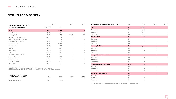### **WORKPLACE & SOCIETY**

| <b>EMPLOYEE TURNOVER DURING</b><br>THE REPORTING PERIOD <sup>123</sup> |           | 2020          |       | 2018 |
|------------------------------------------------------------------------|-----------|---------------|-------|------|
|                                                                        | Rate in % | No.           |       |      |
|                                                                        |           |               |       |      |
| <b>Total</b>                                                           | 26.0%     | 5,589         |       |      |
| Global Office                                                          | 20.5%     | 109           |       |      |
| Crafting facilities                                                    | 2.5%      | 256           | 21.5% | 7.5% |
| <b>Europe Distribution Centre</b>                                      | 30.0%     | 41            |       |      |
| <b>Thailand Distribution Centre</b>                                    | 7.6%      | $\mathcal{P}$ |       |      |
| Global Business Services                                               | 16.3%     | 27            |       |      |
| North America                                                          | 58.1%     | 1,416         |       |      |
| Latin America                                                          | 29.0%     | 301           |       |      |
| Pacific                                                                | 43.5%     | 207           |       |      |
| Rest of Asia                                                           | 38.5%     | 163           |       |      |
| China                                                                  | 45.9%     | 548           |       |      |
| Southern Europe and MEA                                                | 65.3%     | 775           |       |      |
| Western Europe                                                         | 57.3%     | 537           |       |      |
| Eastern Europe                                                         | 32.2%     | 156           |       |      |
| Northern Europe                                                        | 36.7%     | 545           |       |      |
| <b>British Isles</b>                                                   | 38.0%     | 506           |       |      |

1 The reporting period is from March to December 2020.

<sup>2</sup> The scope of data reporting includes retail, distribution, crafting and office employees.

<sup>3</sup> Turnover rate for crafting facilities in 2019 includes number from the voluntary resignation programme.

| <b>COLLECTIVE BARGAINING</b><br><b>AGREEMENTS GLOBALLY</b> | Unit | 2020 | 2019   | 2018 |
|------------------------------------------------------------|------|------|--------|------|
| Employees covered                                          |      | 56%  | $\sim$ |      |

| <b>EMPLOYEES BY EMPLOYMENT CONTRACT</b> | Unit | 2020    | 2019 | 2018 |
|-----------------------------------------|------|---------|------|------|
| <b>Total</b>                            | No.  | 26,003  |      |      |
| Full-time                               | No.  | 19,097  |      |      |
| Part-time                               | No.  | 3,834   |      |      |
| Temporary                               | No.  | 3,102   |      |      |
| Global Office <sup>1</sup>              | No.  | 715     | ٠    |      |
| Full-time                               | No.  | 674     |      |      |
| Part-time                               | No.  | 41      |      |      |
| Temporary                               | No.  |         |      |      |
| Crafting facilities <sup>1</sup>        | No.  | 11,384  |      |      |
| Full-time                               | No.  | 11,384  |      |      |
| Part-time                               | No.  | 0       |      |      |
| Temporary                               | No.  |         |      |      |
| <b>Europe Distribution Centre</b>       | No.  | 195     |      |      |
| Full-time                               | No.  | 134     |      |      |
| Part-time                               | No.  | 12      |      |      |
| Temporary                               | No.  | 49      |      |      |
| <b>Thailand Distribution Centre</b>     | No.  | 36      |      |      |
| Full-time                               | No.  | 36      | ÷    |      |
| Part-time                               | No.  | $\circ$ |      |      |
| Temporary                               | No.  | $\circ$ |      |      |
| <b>Global Business Services</b>         | No.  | 203     | ٠    |      |
| Full-time                               | No.  | 193     |      |      |
| Part-time                               | No.  | $\circ$ |      |      |
| Temporary                               | No.  | 10      |      |      |

<sup>1</sup> Data on temporary employment contract is not available for Global Office and crafting facilities.

5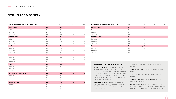#### **WORKPLACE & SOCIETY**

| <b>EMPLOYEES BY EMPLOYMENT CONTRACT</b> | Unit | 2020       | 2019 | 2018 |
|-----------------------------------------|------|------------|------|------|
| <b>North America</b>                    | No.  | 3,565      | ٠    |      |
| Full-time                               | No.  | 808        |      |      |
| Part-time                               | No.  | 1,575      |      |      |
| Temporary                               | No.  | 1,182      |      |      |
| <b>Latin America</b>                    | No.  | 1,334      |      |      |
| Full-time                               | No.  | 1,295      |      |      |
| Part-time                               | No.  | 39         |      |      |
| Temporary                               | No.  | $\circ$    |      |      |
| <b>Pacific</b>                          | No.  | 662        | ٠    |      |
| Full-time                               | No.  | 209        |      |      |
| Part-time                               | No.  | 87         |      |      |
| Temporary                               | No.  | 366        |      |      |
| <b>Rest of Asia</b>                     | No.  | 468        | ٠    |      |
| Full-time                               | No.  | 441        |      |      |
| Part-time                               | No.  | 4          |      |      |
| Temporary                               | No.  | 23         |      |      |
| China                                   | No.  | 1,385      | ٠    |      |
| Full-time                               | No.  | 1,385      |      |      |
| Part-time                               | No.  | $\bigcirc$ |      |      |
| Temporary                               | No.  | $\Omega$   |      |      |
| <b>Southern Europe and MEA</b>          | No.  | 1,709      |      |      |
| Full-time                               | No.  | 620        |      |      |
| Part-time                               | No.  | 480        |      |      |
| Temporary                               | No.  | 609        |      |      |
| <b>Western Europe</b>                   | No.  | 1,357      | ۰    |      |
| Full-time                               | No.  | 629        |      |      |
| Part-time                               | No.  | 385        |      |      |
| Temporary                               | No.  | 343        |      |      |

| <b>EMPLOYEES BY EMPLOYMENT CONTRACT</b> | Unit | 2020  | 2019                     | 2018                     |
|-----------------------------------------|------|-------|--------------------------|--------------------------|
|                                         |      |       |                          |                          |
| <b>Eastern Europe</b>                   | No.  | 604   |                          |                          |
| Full-time                               | No.  | 524   | $\overline{\phantom{a}}$ |                          |
| Part-time                               | No.  | 61    |                          |                          |
| Temporary                               | No.  | 19    |                          |                          |
| <b>Northern Europe</b>                  | No.  | 653   |                          |                          |
| Full-time                               | No.  | 232   | $\overline{\phantom{a}}$ |                          |
| Part-time                               | No.  | 213   |                          | $\overline{\phantom{a}}$ |
| Temporary                               | No.  | 208   | $\overline{a}$           |                          |
| <b>British Isles</b>                    | No.  | 1,763 |                          |                          |
| Full-time                               | No.  | 533   | $\overline{\phantom{a}}$ |                          |
| Part-time                               | No.  | 937   |                          |                          |
| Temporary                               | No.  | 293   |                          | $\overline{\phantom{a}}$ |

#### **WE ARE RESTATING THE FOLLOWING KPIS:**

Scope 1 CO<sub>2</sub> emissions: Restatement due to an underreporting of approximately 1000 tCO<sub>2</sub>e in 2018 and 2019, respectively. From 2020 actual leakage data was obtained. Since this was significantly higher than the IPCC estimate used in 2018 and 2019, we have reassessed those leakage estimates and assumed that they were in line with 2020.

Scope 2 CO<sub>2</sub> emissions: Restatement due to an over-reporting of approximately 25,000 tCO<sub>2</sub>e and 23,000 tCO<sub>2</sub>e in 2018 and 2019, respectively, due to use of wrong emission factors in the retail footprint

and switch to IEA emission factors for our crafting facilities.

Water recycling rate: including additional buildings in Bangkok.

Waste at crafting facilities: improved data validation process.

Water consumption at crafting facilities: improved data validation process.

Recycled metals %: we have revised this percentage downwards as a result of our increased supplier engagement and detailed supplier survey conducted in 2020.